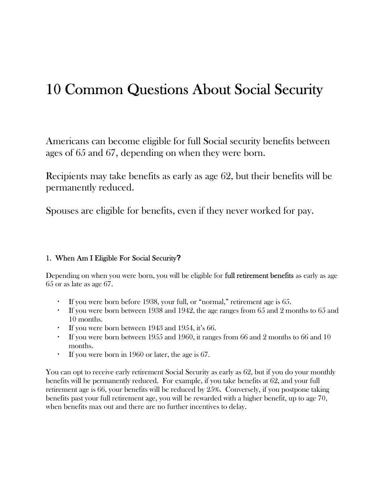# 10 Common Questions About Social Security

Americans can become eligible for full Social security benefits between ages of 65 and 67, depending on when they were born.

Recipients may take benefits as early as age 62, but their benefits will be permanently reduced.

Spouses are eligible for benefits, even if they never worked for pay.

#### 1. When Am I Eligible For Social Security?

Depending on when you were born, you will be eligible for **full retirement benefits** as early as age 65 or as late as age 67.

- If you were born before 1938, your full, or "normal," retirement age is 65.
- If you were born between 1938 and 1942, the age ranges from 65 and 2 months to 65 and 10 months.
- If you were born between 1943 and 1954, it's 66.
- If you were born between 1955 and 1960, it ranges from 66 and 2 months to 66 and 10 months.
- If you were born in 1960 or later, the age is 67.

You can opt to receive early retirement Social Security as early as 62, but if you do your monthly benefits will be permanently reduced. For example, if you take benefits at 62, and your full retirement age is 66, your benefits will be reduced by 25%. Conversely, if you postpone taking benefits past your full retirement age, you will be rewarded with a higher benefit, up to age 70, when benefits max out and there are no further incentives to delay.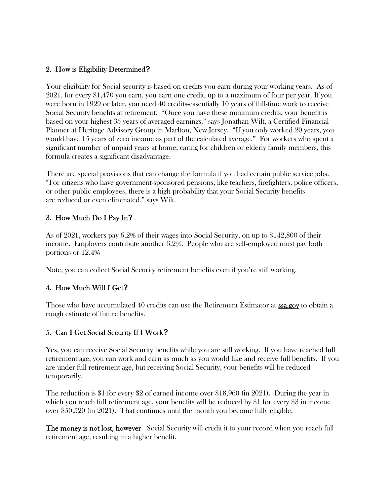### 2. How is Eligibility Determined?

Your eligibility for Social security is based on credits you earn during your working years. As of 2021, for every \$1,470 you earn, you earn one credit, up to a maximum of four per year. If you were born in 1929 or later, you need 40 credits-essentially 10 years of full-time work to receive Social Security benefits at retirement. "Once you have these minimum credits, your benefit is based on your highest 35 years of averaged earnings," says Jonathan Wilt, a Certified Financial Planner at Heritage Advisory Group in Marlton, New Jersey. "If you only worked 20 years, you would have 15 years of zero income as part of the calculated average." For workers who spent a significant number of unpaid years at home, caring for children or elderly family members, this formula creates a significant disadvantage.

There are special provisions that can change the formula if you had certain public service jobs. "For citizens who have government-sponsored pensions, like teachers, firefighters, police officers, or other public employees, there is a high probability that your Social Security benefits are reduced or even eliminated," says Wilt.

# 3. How Much Do I Pay In?

As of 2021, workers pay 6.2% of their wages into Social Security, on up to \$142,800 of their income. Employers contribute another 6.2%. People who are self-employed must pay both portions or 12.4%

Note, you can collect Social Security retirement benefits even if you're still working.

# 4. How Much Will I Get?

Those who have accumulated 40 credits can use the Retirement Estimator at **ssa.gov** to obtain a rough estimate of future benefits.

# 5. Can I Get Social Security If I Work?

Yes, you can receive Social Security benefits while you are still working. If you have reached full retirement age, you can work and earn as much as you would like and receive full benefits. If you are under full retirement age, but receiving Social Security, your benefits will be reduced temporarily.

The reduction is \$1 for every \$2 of earned income over \$18,960 (in 2021). During the year in which you reach full retirement age, your benefits will be reduced by \$1 for every \$3 in income over \$50,520 (in 2021). That continues until the month you become fully eligible.

The money is not lost, however. Social Security will credit it to your record when you reach full retirement age, resulting in a higher benefit.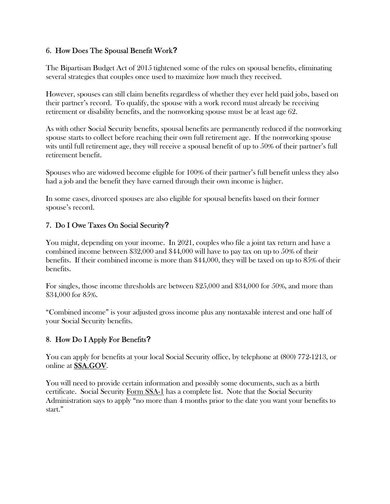## 6. How Does The Spousal Benefit Work?

The Bipartisan Budget Act of 2015 tightened some of the rules on spousal benefits, eliminating several strategies that couples once used to maximize how much they received.

However, spouses can still claim benefits regardless of whether they ever held paid jobs, based on their partner's record. To qualify, the spouse with a work record must already be receiving retirement or disability benefits, and the nonworking spouse must be at least age 62.

As with other Social Security benefits, spousal benefits are permanently reduced if the nonworking spouse starts to collect before reaching their own full retirement age. If the nonworking spouse wits until full retirement age, they will receive a spousal benefit of up to 50% of their partner's full retirement benefit.

Spouses who are widowed become eligible for 100% of their partner's full benefit unless they also had a job and the benefit they have earned through their own income is higher.

In some cases, divorced spouses are also eligible for spousal benefits based on their former spouse's record.

# 7. Do I Owe Taxes On Social Security?

You might, depending on your income. In 2021, couples who file a joint tax return and have a combined income between \$32,000 and \$44,000 will have to pay tax on up to 50% of their benefits. If their combined income is more than \$44,000, they will be taxed on up to 85% of their benefits.

For singles, those income thresholds are between \$25,000 and \$34,000 for 50%, and more than \$34,000 for 85%.

"Combined income" is your adjusted gross income plus any nontaxable interest and one half of your Social Security benefits.

# 8. How Do I Apply For Benefits?

You can apply for benefits at your local Social Security office, by telephone at (800) 772-1213, or online at SSA.GOV.

You will need to provide certain information and possibly some documents, such as a birth certificate. Social Security Form SSA-1 has a complete list. Note that the Social Security Administration says to apply "no more than 4 months prior to the date you want your benefits to start."